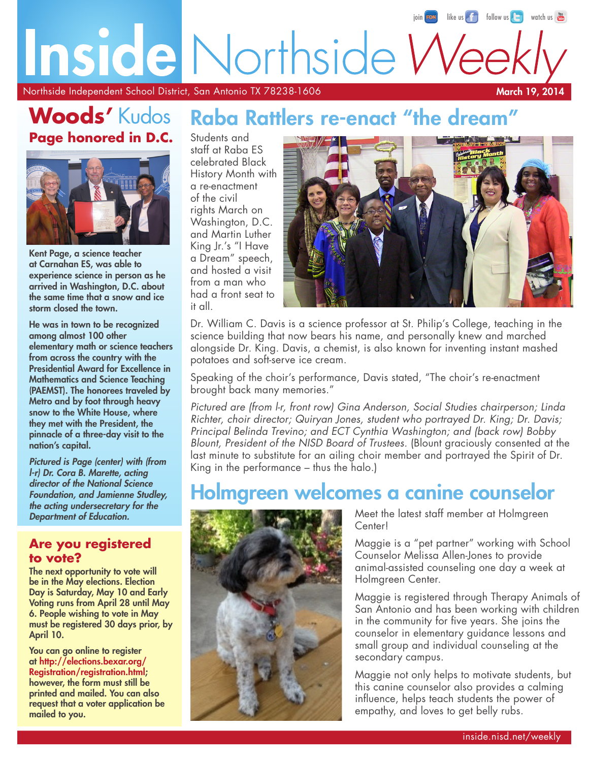## [like us](https://www.facebook.com/NorthsideISD)  $\left[\begin{array}{cc} \uparrow \\ \uparrow \end{array}\right]$  [follow us](https://www.twitter.com/nisd)  $\left[\begin{array}{cc} \downarrow \\ \downarrow \end{array}\right]$  [watch us](http://www.youtube.com/user/northsideisd)  $\left[\begin{array}{cc} \text{true} \\ \text{true} \end{array}\right]$ Inside Northside W

Northside Independent School District, San Antonio TX 78238-1606

March 19, 2014

## **Woods'** Kudos **Page honored in D.C.**



Kent Page, a science teacher at Carnahan ES, was able to experience science in person as he arrived in Washington, D.C. about the same time that a snow and ice storm closed the town.

He was in town to be recognized among almost 100 other elementary math or science teachers from across the country with the Presidential Award for Excellence in Mathematics and Science Teaching (PAEMST). The honorees traveled by Metro and by foot through heavy snow to the White House, where they met with the President, the pinnacle of a three-day visit to the nation's capital.

*Pictured is Page (center) with (from l-r) Dr. Cora B. Marette, acting director of the National Science Foundation, and Jamienne Studley, the acting undersecretary for the Department of Education.*

#### **Are you registered to vote?**

The next opportunity to vote will be in the May elections. Election Day is Saturday, May 10 and Early Voting runs from April 28 until May 6. People wishing to vote in May must be registered 30 days prior, by April 10.

You can go online to register at [http://elections.bexar.org/](http://elections.bexar.org/Registration/registration.html) [Registration/registration.html;](http://elections.bexar.org/Registration/registration.html) however, the form must still be printed and mailed. You can also request that a voter application be mailed to you.

## Raba Rattlers re-enact "the dream

Students and staff at Raba ES celebrated Black History Month with a re-enactment of the civil rights March on Washington, D.C. and Martin Luther King Jr.'s "I Have a Dream" speech, and hosted a visit from a man who had a front seat to it all.



Dr. William C. Davis is a science professor at St. Philip's College, teaching in the science building that now bears his name, and personally knew and marched alongside Dr. King. Davis, a chemist, is also known for inventing instant mashed potatoes and soft-serve ice cream.

Speaking of the choir's performance, Davis stated, "The choir's re-enactment brought back many memories."

*Pictured are (from l-r, front row) Gina Anderson, Social Studies chairperson; Linda Richter, choir director; Quiryan Jones, student who portrayed Dr. King; Dr. Davis; Principal Belinda Trevino; and ECT Cynthia Washington; and (back row) Bobby Blount, President of the NISD Board of Trustees.* (Blount graciously consented at the last minute to substitute for an ailing choir member and portrayed the Spirit of Dr. King in the performance – thus the halo.)

## Holmgreen welcomes a canine counselor



Meet the latest staff member at Holmgreen Center!

Maggie is a "pet partner" working with School Counselor Melissa Allen-Jones to provide animal-assisted counseling one day a week at Holmgreen Center.

Maggie is registered through Therapy Animals of San Antonio and has been working with children in the community for five years. She joins the counselor in elementary guidance lessons and small group and individual counseling at the secondary campus.

Maggie not only helps to motivate students, but this canine counselor also provides a calming influence, helps teach students the power of empathy, and loves to get belly rubs.